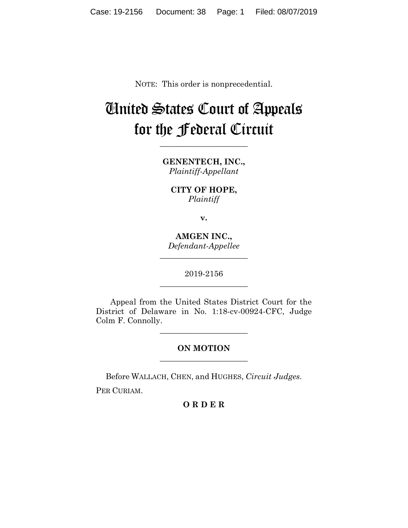NOTE: This order is nonprecedential.

## United States Court of Appeals for the Federal Circuit

**\_\_\_\_\_\_\_\_\_\_\_\_\_\_\_\_\_\_\_\_\_\_**

**GENENTECH, INC.,** *Plaintiff-Appellant*

**CITY OF HOPE,** *Plaintiff*

**v.**

**AMGEN INC.,** *Defendant-Appellee*

**\_\_\_\_\_\_\_\_\_\_\_\_\_\_\_\_\_\_\_\_\_\_**

2019-2156 **\_\_\_\_\_\_\_\_\_\_\_\_\_\_\_\_\_\_\_\_\_\_**

Appeal from the United States District Court for the District of Delaware in No. 1:18-cv-00924-CFC, Judge Colm F. Connolly.

> **ON MOTION \_\_\_\_\_\_\_\_\_\_\_\_\_\_\_\_\_\_\_\_\_\_**

> **\_\_\_\_\_\_\_\_\_\_\_\_\_\_\_\_\_\_\_\_\_\_**

Before WALLACH, CHEN, and HUGHES, *Circuit Judges*.

PER CURIAM.

**O R D E R**